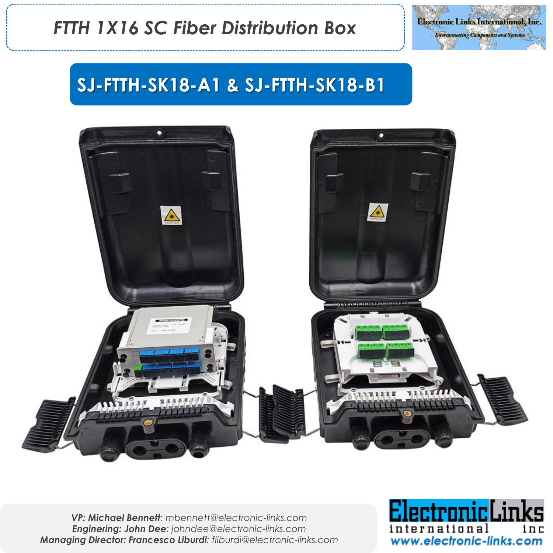



# **SJ-FTTH-SK18-A1 & SJ-FTTH-SK18-B1**



*VP: Michael Bennett: mbennett@electronic-links.com Enginering: John Dee: johndee@electronic-links.com Managing Director: Francesco Liburdi: fliburdi@electronic-links.com*

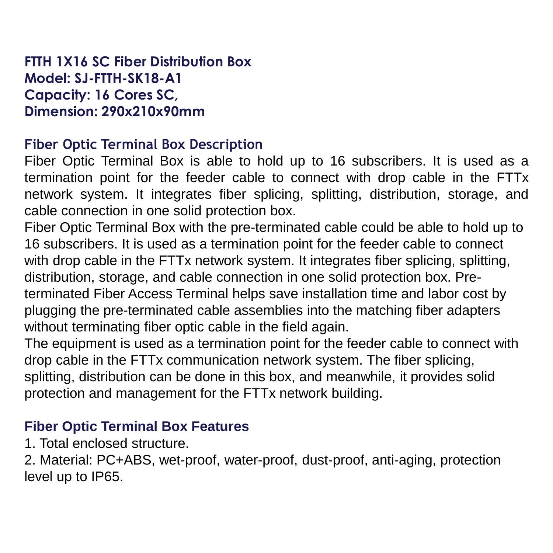#### **FTTH 1X16 SC Fiber Distribution Box Model: SJ-FTTH-SK18-A1 Capacity: 16 Cores SC, Dimension: 290x210x90mm**

#### **Fiber Optic Terminal Box Description**

Fiber Optic Terminal Box is able to hold up to 16 subscribers. It is used as a termination point for the feeder cable to connect with drop cable in the FTTx network system. It integrates fiber splicing, splitting, distribution, storage, and cable connection in one solid protection box.

Fiber Optic Terminal Box with the pre-terminated cable could be able to hold up to 16 subscribers. It is used as a termination point for the feeder cable to connect with drop cable in the FTTx network system. It integrates fiber splicing, splitting, distribution, storage, and cable connection in one solid protection box. Preterminated Fiber Access Terminal helps save installation time and labor cost by plugging the pre-terminated cable assemblies into the matching fiber adapters without terminating fiber optic cable in the field again.

The equipment is used as a termination point for the feeder cable to connect with drop cable in the FTTx communication network system. The fiber splicing, splitting, distribution can be done in this box, and meanwhile, it provides solid protection and management for the FTTx network building.

## **Fiber Optic Terminal Box Features**

1. Total enclosed structure.

2. Material: PC+ABS, wet-proof, water-proof, dust-proof, anti-aging, protection level up to IP65.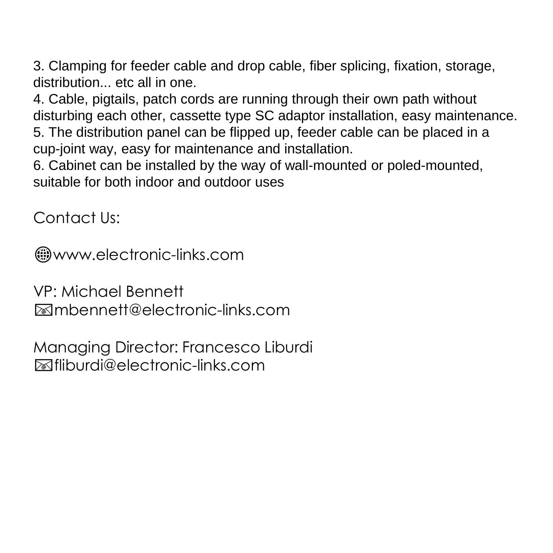3. Clamping for feeder cable and drop cable, fiber splicing, fixation, storage, distribution... etc all in one.

4. Cable, pigtails, patch cords are running through their own path without disturbing each other, cassette type SC adaptor installation, easy maintenance. 5. The distribution panel can be flipped up, feeder cable can be placed in a cup-joint way, easy for maintenance and installation.

6. Cabinet can be installed by the way of wall-mounted or poled-mounted, suitable for both indoor and outdoor uses

Contact Us:

www.electronic-links.com

VP: Michael Bennett mbennett@electronic-links.com

Managing Director: Francesco Liburdi fliburdi@electronic-links.com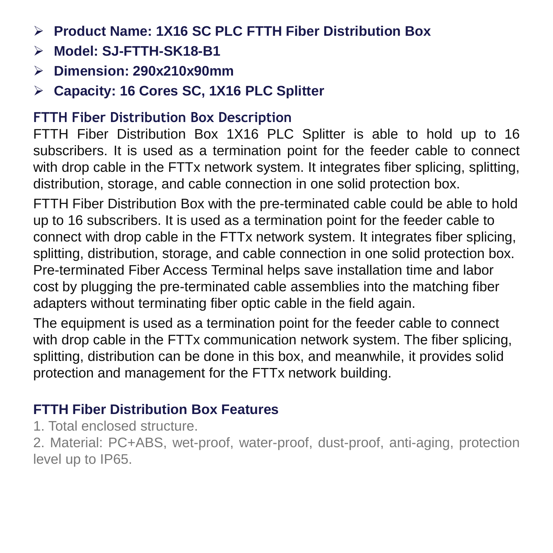- ➢ **Product Name: 1X16 SC PLC FTTH Fiber Distribution Box**
- ➢ **Model: SJ-FTTH-SK18-B1**
- ➢ **Dimension: 290x210x90mm**
- ➢ **Capacity: 16 Cores SC, 1X16 PLC Splitter**

## **FTTH Fiber Distribution Box Description**

FTTH Fiber Distribution Box 1X16 PLC Splitter is able to hold up to 16 subscribers. It is used as a termination point for the feeder cable to connect with drop cable in the FTTx network system. It integrates fiber splicing, splitting, distribution, storage, and cable connection in one solid protection box.

FTTH Fiber Distribution Box with the pre-terminated cable could be able to hold up to 16 subscribers. It is used as a termination point for the feeder cable to connect with drop cable in the FTTx network system. It integrates fiber splicing, splitting, distribution, storage, and cable connection in one solid protection box. Pre-terminated Fiber Access Terminal helps save installation time and labor cost by plugging the pre-terminated cable assemblies into the matching fiber adapters without terminating fiber optic cable in the field again.

The equipment is used as a termination point for the feeder cable to connect with drop cable in the FTTx communication network system. The fiber splicing, splitting, distribution can be done in this box, and meanwhile, it provides solid protection and management for the FTTx network building.

# **FTTH Fiber Distribution Box Features**

1. Total enclosed structure.

2. Material: PC+ABS, wet-proof, water-proof, dust-proof, anti-aging, protection level up to IP65.